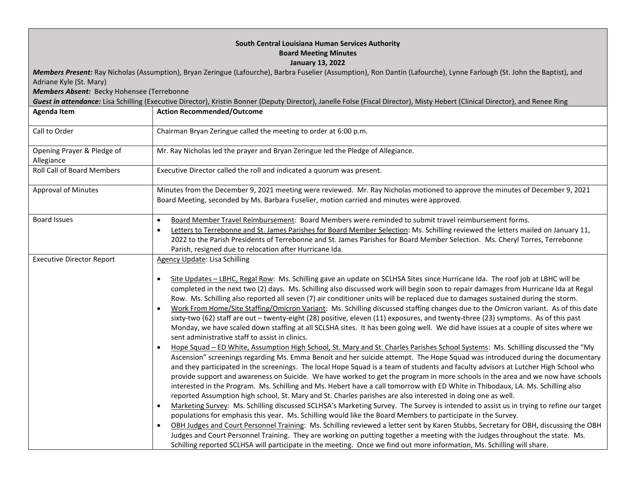| South Central Louisiana Human Services Authority<br><b>Board Meeting Minutes</b><br><b>January 13, 2022</b><br>Members Present: Ray Nicholas (Assumption), Bryan Zeringue (Lafourche), Barbra Fuselier (Assumption), Ron Dantin (Lafourche), Lynne Farlough (St. John the Baptist), and<br>Adriane Kyle (St. Mary)<br>Members Absent: Becky Hohensee (Terrebonne<br>Guest in attendance: Lisa Schilling (Executive Director), Kristin Bonner (Deputy Director), Janelle Folse (Fiscal Director), Misty Hebert (Clinical Director), and Renee Ring |                                                                                                                                                                                                                                                                                                                                                                                                                                                                                                                                                                                                                                                                                                                                                                                                                                                                                                                                                                                                                                                                                                                                                                                                                                                                                                                                                                                                                                                                                                                                                                                                                                                                                                                                                                                                                                                                                                                                                                                                                                                                                                                                                                                                                                                                                             |  |
|---------------------------------------------------------------------------------------------------------------------------------------------------------------------------------------------------------------------------------------------------------------------------------------------------------------------------------------------------------------------------------------------------------------------------------------------------------------------------------------------------------------------------------------------------|---------------------------------------------------------------------------------------------------------------------------------------------------------------------------------------------------------------------------------------------------------------------------------------------------------------------------------------------------------------------------------------------------------------------------------------------------------------------------------------------------------------------------------------------------------------------------------------------------------------------------------------------------------------------------------------------------------------------------------------------------------------------------------------------------------------------------------------------------------------------------------------------------------------------------------------------------------------------------------------------------------------------------------------------------------------------------------------------------------------------------------------------------------------------------------------------------------------------------------------------------------------------------------------------------------------------------------------------------------------------------------------------------------------------------------------------------------------------------------------------------------------------------------------------------------------------------------------------------------------------------------------------------------------------------------------------------------------------------------------------------------------------------------------------------------------------------------------------------------------------------------------------------------------------------------------------------------------------------------------------------------------------------------------------------------------------------------------------------------------------------------------------------------------------------------------------------------------------------------------------------------------------------------------------|--|
| <b>Agenda Item</b>                                                                                                                                                                                                                                                                                                                                                                                                                                                                                                                                | <b>Action Recommended/Outcome</b>                                                                                                                                                                                                                                                                                                                                                                                                                                                                                                                                                                                                                                                                                                                                                                                                                                                                                                                                                                                                                                                                                                                                                                                                                                                                                                                                                                                                                                                                                                                                                                                                                                                                                                                                                                                                                                                                                                                                                                                                                                                                                                                                                                                                                                                           |  |
| Call to Order                                                                                                                                                                                                                                                                                                                                                                                                                                                                                                                                     | Chairman Bryan Zeringue called the meeting to order at 6:00 p.m.                                                                                                                                                                                                                                                                                                                                                                                                                                                                                                                                                                                                                                                                                                                                                                                                                                                                                                                                                                                                                                                                                                                                                                                                                                                                                                                                                                                                                                                                                                                                                                                                                                                                                                                                                                                                                                                                                                                                                                                                                                                                                                                                                                                                                            |  |
| Opening Prayer & Pledge of<br>Allegiance                                                                                                                                                                                                                                                                                                                                                                                                                                                                                                          | Mr. Ray Nicholas led the prayer and Bryan Zeringue led the Pledge of Allegiance.                                                                                                                                                                                                                                                                                                                                                                                                                                                                                                                                                                                                                                                                                                                                                                                                                                                                                                                                                                                                                                                                                                                                                                                                                                                                                                                                                                                                                                                                                                                                                                                                                                                                                                                                                                                                                                                                                                                                                                                                                                                                                                                                                                                                            |  |
| <b>Roll Call of Board Members</b>                                                                                                                                                                                                                                                                                                                                                                                                                                                                                                                 | Executive Director called the roll and indicated a quorum was present.                                                                                                                                                                                                                                                                                                                                                                                                                                                                                                                                                                                                                                                                                                                                                                                                                                                                                                                                                                                                                                                                                                                                                                                                                                                                                                                                                                                                                                                                                                                                                                                                                                                                                                                                                                                                                                                                                                                                                                                                                                                                                                                                                                                                                      |  |
| <b>Approval of Minutes</b>                                                                                                                                                                                                                                                                                                                                                                                                                                                                                                                        | Minutes from the December 9, 2021 meeting were reviewed. Mr. Ray Nicholas motioned to approve the minutes of December 9, 2021<br>Board Meeting, seconded by Ms. Barbara Fuselier, motion carried and minutes were approved.                                                                                                                                                                                                                                                                                                                                                                                                                                                                                                                                                                                                                                                                                                                                                                                                                                                                                                                                                                                                                                                                                                                                                                                                                                                                                                                                                                                                                                                                                                                                                                                                                                                                                                                                                                                                                                                                                                                                                                                                                                                                 |  |
| <b>Board Issues</b>                                                                                                                                                                                                                                                                                                                                                                                                                                                                                                                               | Board Member Travel Reimbursement: Board Members were reminded to submit travel reimbursement forms.<br>Letters to Terrebonne and St. James Parishes for Board Member Selection: Ms. Schilling reviewed the letters mailed on January 11,<br>$\bullet$<br>2022 to the Parish Presidents of Terrebonne and St. James Parishes for Board Member Selection. Ms. Cheryl Torres, Terrebonne<br>Parish, resigned due to relocation after Hurricane Ida.                                                                                                                                                                                                                                                                                                                                                                                                                                                                                                                                                                                                                                                                                                                                                                                                                                                                                                                                                                                                                                                                                                                                                                                                                                                                                                                                                                                                                                                                                                                                                                                                                                                                                                                                                                                                                                           |  |
| <b>Executive Director Report</b>                                                                                                                                                                                                                                                                                                                                                                                                                                                                                                                  | Agency Update: Lisa Schilling<br>Site Updates - LBHC, Regal Row: Ms. Schilling gave an update on SCLHSA Sites since Hurricane Ida. The roof job at LBHC will be<br>$\bullet$<br>completed in the next two (2) days. Ms. Schilling also discussed work will begin soon to repair damages from Hurricane Ida at Regal<br>Row. Ms. Schilling also reported all seven (7) air conditioner units will be replaced due to damages sustained during the storm.<br>Work From Home/Site Staffing/Omicron Variant: Ms. Schilling discussed staffing changes due to the Omicron variant. As of this date<br>sixty-two (62) staff are out - twenty-eight (28) positive, eleven (11) exposures, and twenty-three (23) symptoms. As of this past<br>Monday, we have scaled down staffing at all SCLSHA sites. It has been going well. We did have issues at a couple of sites where we<br>sent administrative staff to assist in clinics.<br>Hope Squad - ED White, Assumption High School, St. Mary and St. Charles Parishes School Systems: Ms. Schilling discussed the "My<br>Ascension" screenings regarding Ms. Emma Benoit and her suicide attempt. The Hope Squad was introduced during the documentary<br>and they participated in the screenings. The local Hope Squad is a team of students and faculty advisors at Lutcher High School who<br>provide support and awareness on Suicide. We have worked to get the program in more schools in the area and we now have schools<br>interested in the Program. Ms. Schilling and Ms. Hebert have a call tomorrow with ED White in Thibodaux, LA. Ms. Schilling also<br>reported Assumption high school, St. Mary and St. Charles parishes are also interested in doing one as well.<br>Marketing Survey: Ms. Schilling discussed SCLHSA's Marketing Survey. The Survey is intended to assist us in trying to refine our target<br>$\bullet$<br>populations for emphasis this year. Ms. Schilling would like the Board Members to participate in the Survey.<br>OBH Judges and Court Personnel Training: Ms. Schilling reviewed a letter sent by Karen Stubbs, Secretary for OBH, discussing the OBH<br>$\bullet$<br>Judges and Court Personnel Training. They are working on putting together a meeting with the Judges throughout the state. Ms. |  |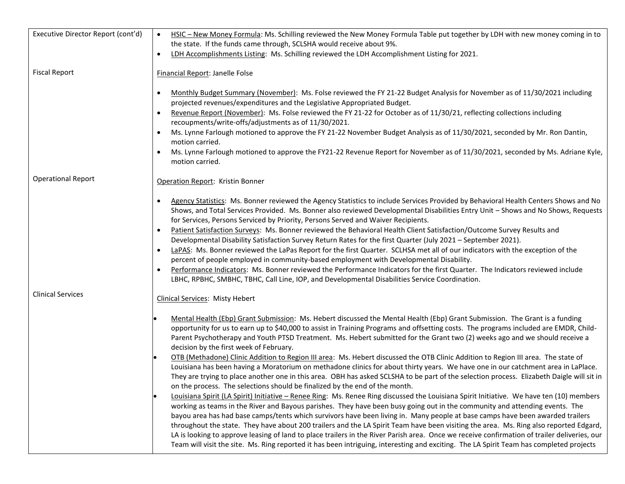| Executive Director Report (cont'd) | HSIC - New Money Formula: Ms. Schilling reviewed the New Money Formula Table put together by LDH with new money coming in to<br>$\bullet$                                                                                                                                                                                                                                                                                                                                                                                                                                                                                                                                                         |
|------------------------------------|---------------------------------------------------------------------------------------------------------------------------------------------------------------------------------------------------------------------------------------------------------------------------------------------------------------------------------------------------------------------------------------------------------------------------------------------------------------------------------------------------------------------------------------------------------------------------------------------------------------------------------------------------------------------------------------------------|
|                                    | the state. If the funds came through, SCLSHA would receive about 9%.                                                                                                                                                                                                                                                                                                                                                                                                                                                                                                                                                                                                                              |
|                                    | LDH Accomplishments Listing: Ms. Schilling reviewed the LDH Accomplishment Listing for 2021.<br>$\bullet$                                                                                                                                                                                                                                                                                                                                                                                                                                                                                                                                                                                         |
| <b>Fiscal Report</b>               | Financial Report: Janelle Folse                                                                                                                                                                                                                                                                                                                                                                                                                                                                                                                                                                                                                                                                   |
|                                    | Monthly Budget Summary (November): Ms. Folse reviewed the FY 21-22 Budget Analysis for November as of 11/30/2021 including<br>projected revenues/expenditures and the Legislative Appropriated Budget.                                                                                                                                                                                                                                                                                                                                                                                                                                                                                            |
|                                    | Revenue Report (November): Ms. Folse reviewed the FY 21-22 for October as of 11/30/21, reflecting collections including<br>recoupments/write-offs/adjustments as of 11/30/2021.                                                                                                                                                                                                                                                                                                                                                                                                                                                                                                                   |
|                                    | Ms. Lynne Farlough motioned to approve the FY 21-22 November Budget Analysis as of 11/30/2021, seconded by Mr. Ron Dantin,<br>motion carried.                                                                                                                                                                                                                                                                                                                                                                                                                                                                                                                                                     |
|                                    | Ms. Lynne Farlough motioned to approve the FY21-22 Revenue Report for November as of 11/30/2021, seconded by Ms. Adriane Kyle,<br>motion carried.                                                                                                                                                                                                                                                                                                                                                                                                                                                                                                                                                 |
| <b>Operational Report</b>          | Operation Report: Kristin Bonner                                                                                                                                                                                                                                                                                                                                                                                                                                                                                                                                                                                                                                                                  |
|                                    | Agency Statistics: Ms. Bonner reviewed the Agency Statistics to include Services Provided by Behavioral Health Centers Shows and No<br>Shows, and Total Services Provided. Ms. Bonner also reviewed Developmental Disabilities Entry Unit - Shows and No Shows, Requests<br>for Services, Persons Serviced by Priority, Persons Served and Waiver Recipients.                                                                                                                                                                                                                                                                                                                                     |
|                                    | Patient Satisfaction Surveys: Ms. Bonner reviewed the Behavioral Health Client Satisfaction/Outcome Survey Results and<br>Developmental Disability Satisfaction Survey Return Rates for the first Quarter (July 2021 - September 2021).<br>LaPAS: Ms. Bonner reviewed the LaPas Report for the first Quarter. SCLHSA met all of our indicators with the exception of the                                                                                                                                                                                                                                                                                                                          |
|                                    | percent of people employed in community-based employment with Developmental Disability.                                                                                                                                                                                                                                                                                                                                                                                                                                                                                                                                                                                                           |
|                                    | Performance Indicators: Ms. Bonner reviewed the Performance Indicators for the first Quarter. The Indicators reviewed include<br>$\bullet$<br>LBHC, RPBHC, SMBHC, TBHC, Call Line, IOP, and Developmental Disabilities Service Coordination.                                                                                                                                                                                                                                                                                                                                                                                                                                                      |
| <b>Clinical Services</b>           | <b>Clinical Services: Misty Hebert</b>                                                                                                                                                                                                                                                                                                                                                                                                                                                                                                                                                                                                                                                            |
|                                    | Mental Health (Ebp) Grant Submission: Ms. Hebert discussed the Mental Health (Ebp) Grant Submission. The Grant is a funding<br>opportunity for us to earn up to \$40,000 to assist in Training Programs and offsetting costs. The programs included are EMDR, Child-<br>Parent Psychotherapy and Youth PTSD Treatment. Ms. Hebert submitted for the Grant two (2) weeks ago and we should receive a<br>decision by the first week of February.                                                                                                                                                                                                                                                    |
|                                    | OTB (Methadone) Clinic Addition to Region III area: Ms. Hebert discussed the OTB Clinic Addition to Region III area. The state of<br>Louisiana has been having a Moratorium on methadone clinics for about thirty years. We have one in our catchment area in LaPlace.<br>They are trying to place another one in this area. OBH has asked SCLSHA to be part of the selection process. Elizabeth Daigle will sit in<br>on the process. The selections should be finalized by the end of the month.                                                                                                                                                                                                |
|                                    | Louisiana Spirit (LA Spirit) Initiative - Renee Ring: Ms. Renee Ring discussed the Louisiana Spirit Initiative. We have ten (10) members<br>working as teams in the River and Bayous parishes. They have been busy going out in the community and attending events. The<br>bayou area has had base camps/tents which survivors have been living in. Many people at base camps have been awarded trailers<br>throughout the state. They have about 200 trailers and the LA Spirit Team have been visiting the area. Ms. Ring also reported Edgard,<br>LA is looking to approve leasing of land to place trailers in the River Parish area. Once we receive confirmation of trailer deliveries, our |
|                                    | Team will visit the site. Ms. Ring reported it has been intriguing, interesting and exciting. The LA Spirit Team has completed projects                                                                                                                                                                                                                                                                                                                                                                                                                                                                                                                                                           |